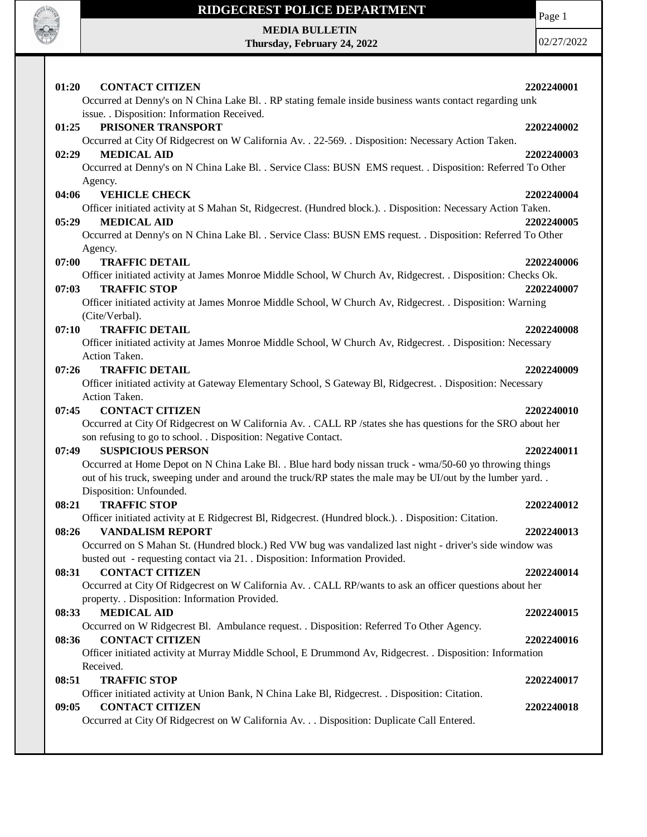

**MEDIA BULLETIN Thursday, February 24, 2022** Page 1

| 01:20<br><b>CONTACT CITIZEN</b>                                                                                                                        | 2202240001 |
|--------------------------------------------------------------------------------------------------------------------------------------------------------|------------|
| Occurred at Denny's on N China Lake Bl. . RP stating female inside business wants contact regarding unk<br>issue. . Disposition: Information Received. |            |
| PRISONER TRANSPORT<br>01:25                                                                                                                            | 2202240002 |
| Occurred at City Of Ridgecrest on W California Av. . 22-569. . Disposition: Necessary Action Taken.                                                    |            |
| <b>MEDICAL AID</b><br>02:29<br>Occurred at Denny's on N China Lake Bl. . Service Class: BUSN EMS request. . Disposition: Referred To Other             | 2202240003 |
| Agency.                                                                                                                                                |            |
| <b>VEHICLE CHECK</b><br>04:06                                                                                                                          | 2202240004 |
| Officer initiated activity at S Mahan St, Ridgecrest. (Hundred block.). . Disposition: Necessary Action Taken.                                         |            |
| <b>MEDICAL AID</b><br>05:29                                                                                                                            | 2202240005 |
| Occurred at Denny's on N China Lake Bl. . Service Class: BUSN EMS request. . Disposition: Referred To Other                                            |            |
| Agency.<br>07:00<br><b>TRAFFIC DETAIL</b>                                                                                                              | 2202240006 |
| Officer initiated activity at James Monroe Middle School, W Church Av, Ridgecrest. . Disposition: Checks Ok.                                           |            |
| <b>TRAFFIC STOP</b><br>07:03                                                                                                                           | 2202240007 |
| Officer initiated activity at James Monroe Middle School, W Church Av, Ridgecrest. . Disposition: Warning                                              |            |
| (Cite/Verbal).                                                                                                                                         |            |
| <b>TRAFFIC DETAIL</b><br>07:10                                                                                                                         | 2202240008 |
| Officer initiated activity at James Monroe Middle School, W Church Av, Ridgecrest. . Disposition: Necessary                                            |            |
| Action Taken.                                                                                                                                          |            |
| 07:26<br><b>TRAFFIC DETAIL</b>                                                                                                                         | 2202240009 |
| Officer initiated activity at Gateway Elementary School, S Gateway Bl, Ridgecrest. . Disposition: Necessary<br>Action Taken.                           |            |
| <b>CONTACT CITIZEN</b><br>07:45                                                                                                                        | 2202240010 |
| Occurred at City Of Ridgecrest on W California Av. . CALL RP /states she has questions for the SRO about her                                           |            |
| son refusing to go to school. . Disposition: Negative Contact.                                                                                         |            |
| <b>SUSPICIOUS PERSON</b><br>07:49                                                                                                                      | 2202240011 |
| Occurred at Home Depot on N China Lake Bl. . Blue hard body nissan truck - wma/50-60 yo throwing things                                                |            |
| out of his truck, sweeping under and around the truck/RP states the male may be UI/out by the lumber yard                                              |            |
| Disposition: Unfounded.                                                                                                                                |            |
| <b>TRAFFIC STOP</b><br>08:21<br>Officer initiated activity at E Ridgecrest Bl, Ridgecrest. (Hundred block.). . Disposition: Citation.                  | 2202240012 |
| 08:26<br><b>VANDALISM REPORT</b>                                                                                                                       | 2202240013 |
| Occurred on S Mahan St. (Hundred block.) Red VW bug was vandalized last night - driver's side window was                                               |            |
| busted out - requesting contact via 21. . Disposition: Information Provided.                                                                           |            |
| <b>CONTACT CITIZEN</b><br>08:31                                                                                                                        | 2202240014 |
| Occurred at City Of Ridgecrest on W California Av. . CALL RP/wants to ask an officer questions about her                                               |            |
| property. . Disposition: Information Provided.                                                                                                         |            |
| <b>MEDICAL AID</b><br>08:33                                                                                                                            | 2202240015 |
| Occurred on W Ridgecrest Bl. Ambulance request. . Disposition: Referred To Other Agency.                                                               |            |
| <b>CONTACT CITIZEN</b><br>08:36<br>Officer initiated activity at Murray Middle School, E Drummond Av, Ridgecrest. . Disposition: Information           | 2202240016 |
| Received.                                                                                                                                              |            |
| 08:51<br><b>TRAFFIC STOP</b>                                                                                                                           | 2202240017 |
| Officer initiated activity at Union Bank, N China Lake Bl, Ridgecrest. . Disposition: Citation.                                                        |            |
| 09:05<br><b>CONTACT CITIZEN</b>                                                                                                                        | 2202240018 |
| Occurred at City Of Ridgecrest on W California Av. Disposition: Duplicate Call Entered.                                                                |            |
|                                                                                                                                                        |            |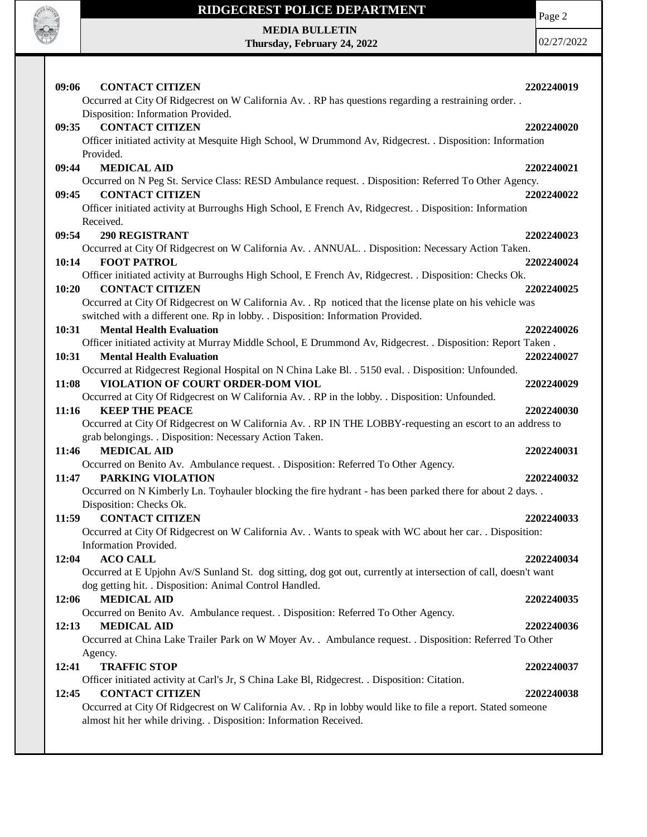

Page 2

#### **MEDIA BULLETIN Thursday, February 24, 2022**

| 09:06<br><b>CONTACT CITIZEN</b>                                                                                                | 2202240019 |
|--------------------------------------------------------------------------------------------------------------------------------|------------|
| Occurred at City Of Ridgecrest on W California Av. . RP has questions regarding a restraining order. .                         |            |
| Disposition: Information Provided.                                                                                             |            |
| <b>CONTACT CITIZEN</b><br>09:35                                                                                                | 2202240020 |
| Officer initiated activity at Mesquite High School, W Drummond Av, Ridgecrest. . Disposition: Information                      |            |
| Provided.                                                                                                                      |            |
| 09:44<br><b>MEDICAL AID</b>                                                                                                    | 2202240021 |
| Occurred on N Peg St. Service Class: RESD Ambulance request. . Disposition: Referred To Other Agency.                          |            |
| <b>CONTACT CITIZEN</b><br>09:45                                                                                                | 2202240022 |
| Officer initiated activity at Burroughs High School, E French Av, Ridgecrest. . Disposition: Information                       |            |
| Received.                                                                                                                      |            |
| 09:54<br><b>290 REGISTRANT</b>                                                                                                 | 2202240023 |
| Occurred at City Of Ridgecrest on W California Av. . ANNUAL. . Disposition: Necessary Action Taken.                            |            |
| 10:14<br><b>FOOT PATROL</b>                                                                                                    | 2202240024 |
| Officer initiated activity at Burroughs High School, E French Av, Ridgecrest. . Disposition: Checks Ok.                        |            |
| 10:20<br><b>CONTACT CITIZEN</b>                                                                                                | 2202240025 |
| Occurred at City Of Ridgecrest on W California Av. . Rp noticed that the license plate on his vehicle was                      |            |
| switched with a different one. Rp in lobby. . Disposition: Information Provided.                                               |            |
| 10:31<br><b>Mental Health Evaluation</b>                                                                                       | 2202240026 |
| Officer initiated activity at Murray Middle School, E Drummond Av, Ridgecrest. . Disposition: Report Taken.                    |            |
| 10:31<br><b>Mental Health Evaluation</b>                                                                                       | 2202240027 |
| Occurred at Ridgecrest Regional Hospital on N China Lake Bl. . 5150 eval. . Disposition: Unfounded.                            |            |
| VIOLATION OF COURT ORDER-DOM VIOL<br>11:08                                                                                     | 2202240029 |
| Occurred at City Of Ridgecrest on W California Av. . RP in the lobby. . Disposition: Unfounded.                                |            |
| <b>KEEP THE PEACE</b><br>11:16                                                                                                 | 2202240030 |
| Occurred at City Of Ridgecrest on W California Av. . RP IN THE LOBBY-requesting an escort to an address to                     |            |
| grab belongings. . Disposition: Necessary Action Taken.                                                                        |            |
| <b>MEDICAL AID</b><br>11:46                                                                                                    | 2202240031 |
| Occurred on Benito Av. Ambulance request. . Disposition: Referred To Other Agency.                                             |            |
| 11:47<br>PARKING VIOLATION                                                                                                     | 2202240032 |
| Occurred on N Kimberly Ln. Toyhauler blocking the fire hydrant - has been parked there for about 2 days. .                     |            |
| Disposition: Checks Ok.                                                                                                        |            |
| <b>CONTACT CITIZEN</b><br>11:59                                                                                                | 2202240033 |
| Occurred at City Of Ridgecrest on W California Av. . Wants to speak with WC about her car. . Disposition:                      |            |
| Information Provided.                                                                                                          |            |
| 12:04<br><b>ACO CALL</b>                                                                                                       | 2202240034 |
| Occurred at E Upjohn Av/S Sunland St. dog sitting, dog got out, currently at intersection of call, doesn't want                |            |
| dog getting hit. . Disposition: Animal Control Handled.                                                                        |            |
| <b>MEDICAL AID</b><br>12:06                                                                                                    | 2202240035 |
| Occurred on Benito Av. Ambulance request. . Disposition: Referred To Other Agency.                                             |            |
| <b>MEDICAL AID</b><br>12:13                                                                                                    | 2202240036 |
| Occurred at China Lake Trailer Park on W Moyer Av. . Ambulance request. . Disposition: Referred To Other                       |            |
| Agency.                                                                                                                        |            |
| <b>TRAFFIC STOP</b><br>12:41<br>Officer initiated activity at Carl's Jr, S China Lake Bl, Ridgecrest. . Disposition: Citation. | 2202240037 |
| <b>CONTACT CITIZEN</b><br>12:45                                                                                                | 2202240038 |
| Occurred at City Of Ridgecrest on W California Av. . Rp in lobby would like to file a report. Stated someone                   |            |
| almost hit her while driving. . Disposition: Information Received.                                                             |            |
|                                                                                                                                |            |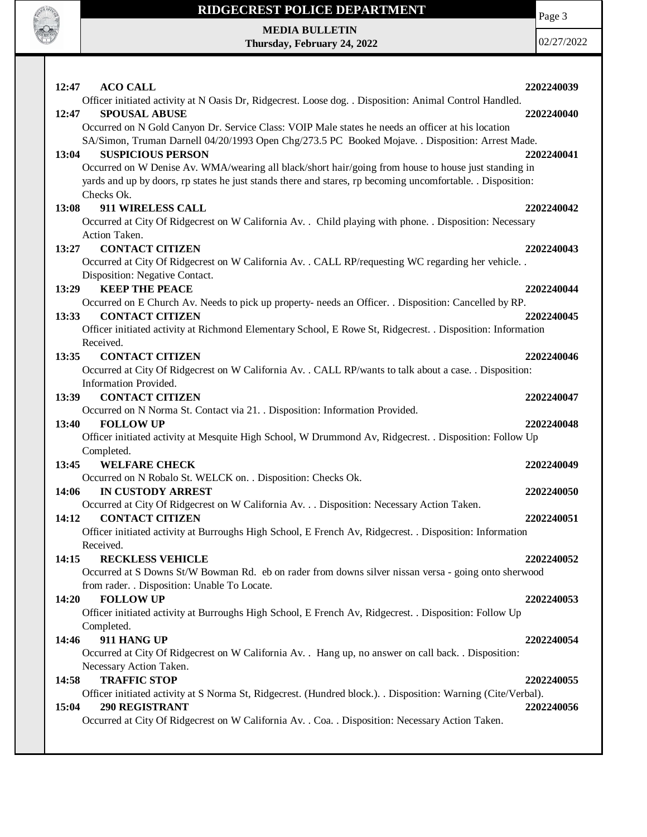

# **RIDGECREST POLICE DEPARTMENT MEDIA BULLETIN**

**Thursday, February 24, 2022**

Page 3

| 12:47 | <b>ACO CALL</b>                                                                                                         | 2202240039 |
|-------|-------------------------------------------------------------------------------------------------------------------------|------------|
|       | Officer initiated activity at N Oasis Dr, Ridgecrest. Loose dog. . Disposition: Animal Control Handled.                 |            |
| 12:47 | <b>SPOUSAL ABUSE</b>                                                                                                    | 2202240040 |
|       | Occurred on N Gold Canyon Dr. Service Class: VOIP Male states he needs an officer at his location                       |            |
|       | SA/Simon, Truman Darnell 04/20/1993 Open Chg/273.5 PC Booked Mojave. . Disposition: Arrest Made.                        |            |
| 13:04 | <b>SUSPICIOUS PERSON</b>                                                                                                | 2202240041 |
|       | Occurred on W Denise Av. WMA/wearing all black/short hair/going from house to house just standing in                    |            |
|       | yards and up by doors, rp states he just stands there and stares, rp becoming uncomfortable. Disposition:<br>Checks Ok. |            |
| 13:08 | 911 WIRELESS CALL                                                                                                       | 2202240042 |
|       | Occurred at City Of Ridgecrest on W California Av. . Child playing with phone. . Disposition: Necessary                 |            |
|       | Action Taken.                                                                                                           |            |
| 13:27 | <b>CONTACT CITIZEN</b>                                                                                                  | 2202240043 |
|       | Occurred at City Of Ridgecrest on W California Av. . CALL RP/requesting WC regarding her vehicle. .                     |            |
|       | Disposition: Negative Contact.                                                                                          |            |
| 13:29 | <b>KEEP THE PEACE</b>                                                                                                   | 2202240044 |
|       | Occurred on E Church Av. Needs to pick up property- needs an Officer. . Disposition: Cancelled by RP.                   |            |
| 13:33 | <b>CONTACT CITIZEN</b>                                                                                                  | 2202240045 |
|       | Officer initiated activity at Richmond Elementary School, E Rowe St, Ridgecrest. . Disposition: Information             |            |
|       | Received.                                                                                                               |            |
| 13:35 | <b>CONTACT CITIZEN</b>                                                                                                  | 2202240046 |
|       | Occurred at City Of Ridgecrest on W California Av. . CALL RP/wants to talk about a case. . Disposition:                 |            |
| 13:39 | Information Provided.<br><b>CONTACT CITIZEN</b>                                                                         | 2202240047 |
|       | Occurred on N Norma St. Contact via 21. . Disposition: Information Provided.                                            |            |
| 13:40 | <b>FOLLOW UP</b>                                                                                                        | 2202240048 |
|       | Officer initiated activity at Mesquite High School, W Drummond Av, Ridgecrest. . Disposition: Follow Up                 |            |
|       | Completed.                                                                                                              |            |
| 13:45 | <b>WELFARE CHECK</b>                                                                                                    | 2202240049 |
|       | Occurred on N Robalo St. WELCK on. . Disposition: Checks Ok.                                                            |            |
| 14:06 | <b>IN CUSTODY ARREST</b>                                                                                                | 2202240050 |
|       | Occurred at City Of Ridgecrest on W California Av. Disposition: Necessary Action Taken.                                 |            |
| 14:12 | <b>CONTACT CITIZEN</b>                                                                                                  | 2202240051 |
|       | Officer initiated activity at Burroughs High School, E French Av, Ridgecrest. . Disposition: Information                |            |
|       | Received.                                                                                                               |            |
| 14:15 | <b>RECKLESS VEHICLE</b>                                                                                                 | 2202240052 |
|       | Occurred at S Downs St/W Bowman Rd. eb on rader from downs silver nissan versa - going onto sherwood                    |            |
| 14:20 | from rader. . Disposition: Unable To Locate.<br><b>FOLLOW UP</b>                                                        | 2202240053 |
|       | Officer initiated activity at Burroughs High School, E French Av, Ridgecrest. . Disposition: Follow Up                  |            |
|       | Completed.                                                                                                              |            |
| 14:46 | 911 HANG UP                                                                                                             | 2202240054 |
|       | Occurred at City Of Ridgecrest on W California Av. . Hang up, no answer on call back. . Disposition:                    |            |
|       | Necessary Action Taken.                                                                                                 |            |
| 14:58 | <b>TRAFFIC STOP</b>                                                                                                     | 2202240055 |
|       | Officer initiated activity at S Norma St, Ridgecrest. (Hundred block.). Disposition: Warning (Cite/Verbal).             |            |
| 15:04 | <b>290 REGISTRANT</b>                                                                                                   | 2202240056 |
|       | Occurred at City Of Ridgecrest on W California Av. . Coa. . Disposition: Necessary Action Taken.                        |            |
|       |                                                                                                                         |            |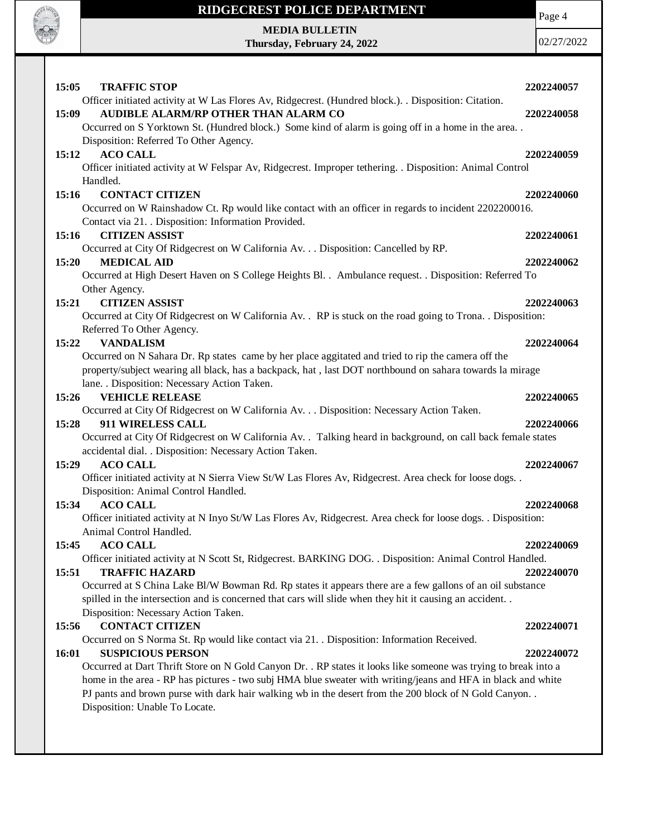

**MEDIA BULLETIN Thursday, February 24, 2022** Page 4

| <b>TRAFFIC STOP</b><br>15:05                                                                                                    | 2202240057 |
|---------------------------------------------------------------------------------------------------------------------------------|------------|
| Officer initiated activity at W Las Flores Av, Ridgecrest. (Hundred block.). Disposition: Citation.                             |            |
| AUDIBLE ALARM/RP OTHER THAN ALARM CO<br>15:09                                                                                   | 2202240058 |
| Occurred on S Yorktown St. (Hundred block.) Some kind of alarm is going off in a home in the area                               |            |
| Disposition: Referred To Other Agency.                                                                                          |            |
| <b>ACO CALL</b><br>15:12                                                                                                        | 2202240059 |
| Officer initiated activity at W Felspar Av, Ridgecrest. Improper tethering. . Disposition: Animal Control<br>Handled.           |            |
| <b>CONTACT CITIZEN</b><br>15:16                                                                                                 | 2202240060 |
| Occurred on W Rainshadow Ct. Rp would like contact with an officer in regards to incident 2202200016.                           |            |
| Contact via 21. . Disposition: Information Provided.                                                                            |            |
| <b>CITIZEN ASSIST</b><br>15:16                                                                                                  | 2202240061 |
| Occurred at City Of Ridgecrest on W California Av. Disposition: Cancelled by RP.                                                |            |
| <b>MEDICAL AID</b><br>15:20                                                                                                     | 2202240062 |
| Occurred at High Desert Haven on S College Heights Bl. . Ambulance request. . Disposition: Referred To                          |            |
| Other Agency.                                                                                                                   |            |
| <b>CITIZEN ASSIST</b><br>15:21                                                                                                  | 2202240063 |
| Occurred at City Of Ridgecrest on W California Av. . RP is stuck on the road going to Trona. . Disposition:                     |            |
| Referred To Other Agency.                                                                                                       |            |
| <b>VANDALISM</b><br>15:22                                                                                                       | 2202240064 |
| Occurred on N Sahara Dr. Rp states came by her place aggitated and tried to rip the camera off the                              |            |
| property/subject wearing all black, has a backpack, hat, last DOT northbound on sahara towards la mirage                        |            |
| lane. . Disposition: Necessary Action Taken.                                                                                    |            |
| 15:26<br><b>VEHICLE RELEASE</b>                                                                                                 | 2202240065 |
| Occurred at City Of Ridgecrest on W California Av. Disposition: Necessary Action Taken.<br>911 WIRELESS CALL<br>15:28           | 2202240066 |
| Occurred at City Of Ridgecrest on W California Av. . Talking heard in background, on call back female states                    |            |
| accidental dial. . Disposition: Necessary Action Taken.                                                                         |            |
| <b>ACO CALL</b><br>15:29                                                                                                        | 2202240067 |
| Officer initiated activity at N Sierra View St/W Las Flores Av, Ridgecrest. Area check for loose dogs. .                        |            |
| Disposition: Animal Control Handled.                                                                                            |            |
| <b>ACO CALL</b><br>15:34                                                                                                        | 2202240068 |
| Officer initiated activity at N Inyo St/W Las Flores Av, Ridgecrest. Area check for loose dogs. . Disposition:                  |            |
| Animal Control Handled.                                                                                                         |            |
| 15:45<br><b>ACO CALL</b>                                                                                                        | 2202240069 |
| Officer initiated activity at N Scott St, Ridgecrest. BARKING DOG. . Disposition: Animal Control Handled.                       |            |
| 15:51<br><b>TRAFFIC HAZARD</b>                                                                                                  | 2202240070 |
| Occurred at S China Lake Bl/W Bowman Rd. Rp states it appears there are a few gallons of an oil substance                       |            |
| spilled in the intersection and is concerned that cars will slide when they hit it causing an accident                          |            |
| Disposition: Necessary Action Taken.                                                                                            |            |
| <b>CONTACT CITIZEN</b><br>15:56                                                                                                 | 2202240071 |
| Occurred on S Norma St. Rp would like contact via 21. . Disposition: Information Received.<br><b>SUSPICIOUS PERSON</b><br>16:01 | 2202240072 |
| Occurred at Dart Thrift Store on N Gold Canyon Dr. . RP states it looks like someone was trying to break into a                 |            |
| home in the area - RP has pictures - two subj HMA blue sweater with writing/jeans and HFA in black and white                    |            |
| PJ pants and brown purse with dark hair walking wb in the desert from the 200 block of N Gold Canyon                            |            |
| Disposition: Unable To Locate.                                                                                                  |            |
|                                                                                                                                 |            |
|                                                                                                                                 |            |
|                                                                                                                                 |            |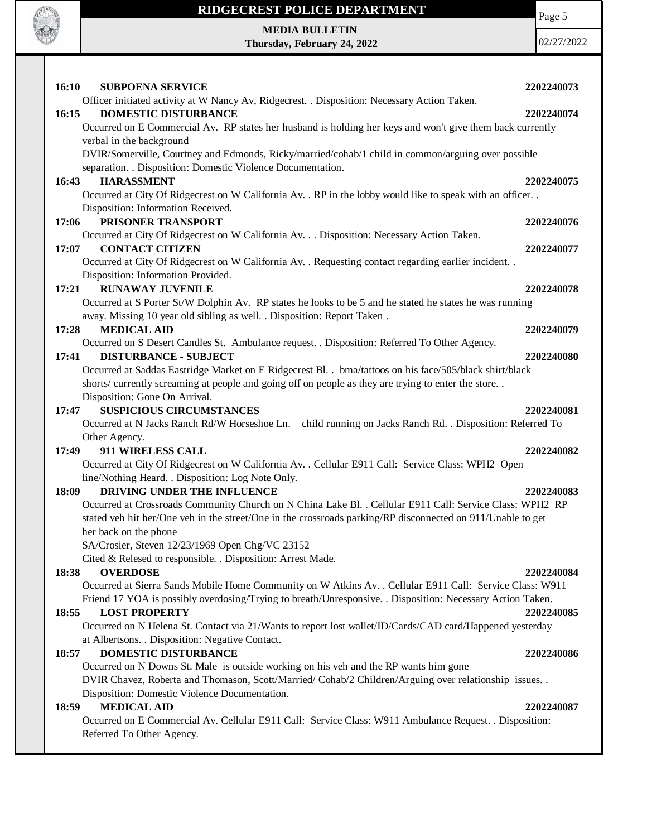

Page 5

**MEDIA BULLETIN Thursday, February 24, 2022**

| <b>16:10</b><br><b>SUBPOENA SERVICE</b>                                                                     | 2202240073 |
|-------------------------------------------------------------------------------------------------------------|------------|
| Officer initiated activity at W Nancy Av, Ridgecrest. . Disposition: Necessary Action Taken.                |            |
| <b>DOMESTIC DISTURBANCE</b><br>16:15                                                                        | 2202240074 |
| Occurred on E Commercial Av. RP states her husband is holding her keys and won't give them back currently   |            |
| verbal in the background                                                                                    |            |
| DVIR/Somerville, Courtney and Edmonds, Ricky/married/cohab/1 child in common/arguing over possible          |            |
| separation. . Disposition: Domestic Violence Documentation.                                                 |            |
| <b>HARASSMENT</b><br>16:43                                                                                  | 2202240075 |
| Occurred at City Of Ridgecrest on W California Av. . RP in the lobby would like to speak with an officer. . |            |
| Disposition: Information Received.                                                                          |            |
| PRISONER TRANSPORT<br>17:06                                                                                 | 2202240076 |
| Occurred at City Of Ridgecrest on W California Av. Disposition: Necessary Action Taken.                     |            |
| <b>CONTACT CITIZEN</b><br>17:07                                                                             | 2202240077 |
| Occurred at City Of Ridgecrest on W California Av. . Requesting contact regarding earlier incident. .       |            |
| Disposition: Information Provided.                                                                          |            |
| <b>RUNAWAY JUVENILE</b><br>17:21                                                                            | 2202240078 |
| Occurred at S Porter St/W Dolphin Av. RP states he looks to be 5 and he stated he states he was running     |            |
| away. Missing 10 year old sibling as well. . Disposition: Report Taken.                                     |            |
| <b>MEDICAL AID</b><br>17:28                                                                                 | 2202240079 |
| Occurred on S Desert Candles St. Ambulance request. . Disposition: Referred To Other Agency.                |            |
| <b>DISTURBANCE - SUBJECT</b><br>17:41                                                                       | 2202240080 |
| Occurred at Saddas Eastridge Market on E Ridgecrest Bl. . bma/tattoos on his face/505/black shirt/black     |            |
| shorts/ currently screaming at people and going off on people as they are trying to enter the store         |            |
| Disposition: Gone On Arrival.                                                                               |            |
| <b>SUSPICIOUS CIRCUMSTANCES</b><br>17:47                                                                    | 2202240081 |
| Occurred at N Jacks Ranch Rd/W Horseshoe Ln. child running on Jacks Ranch Rd. . Disposition: Referred To    |            |
| Other Agency.                                                                                               |            |
| 911 WIRELESS CALL<br>17:49                                                                                  | 2202240082 |
| Occurred at City Of Ridgecrest on W California Av. . Cellular E911 Call: Service Class: WPH2 Open           |            |
| line/Nothing Heard. . Disposition: Log Note Only.                                                           |            |
| DRIVING UNDER THE INFLUENCE<br>18:09                                                                        | 2202240083 |
| Occurred at Crossroads Community Church on N China Lake Bl. . Cellular E911 Call: Service Class: WPH2 RP    |            |
| stated veh hit her/One veh in the street/One in the crossroads parking/RP disconnected on 911/Unable to get |            |
| her back on the phone                                                                                       |            |
| SA/Crosier, Steven 12/23/1969 Open Chg/VC 23152                                                             |            |
| Cited & Relesed to responsible. . Disposition: Arrest Made.                                                 |            |
| <b>OVERDOSE</b><br>18:38                                                                                    | 2202240084 |
| Occurred at Sierra Sands Mobile Home Community on W Atkins Av. . Cellular E911 Call: Service Class: W911    |            |
| Friend 17 YOA is possibly overdosing/Trying to breath/Unresponsive. . Disposition: Necessary Action Taken.  |            |
| <b>LOST PROPERTY</b><br>18:55                                                                               | 2202240085 |
| Occurred on N Helena St. Contact via 21/Wants to report lost wallet/ID/Cards/CAD card/Happened yesterday    |            |
| at Albertsons. . Disposition: Negative Contact.                                                             |            |
| <b>DOMESTIC DISTURBANCE</b><br>18:57                                                                        | 2202240086 |
| Occurred on N Downs St. Male is outside working on his veh and the RP wants him gone                        |            |
| DVIR Chavez, Roberta and Thomason, Scott/Married/ Cohab/2 Children/Arguing over relationship issues. .      |            |
| Disposition: Domestic Violence Documentation.<br><b>MEDICAL AID</b><br>18:59                                | 2202240087 |
| Occurred on E Commercial Av. Cellular E911 Call: Service Class: W911 Ambulance Request. . Disposition:      |            |
| Referred To Other Agency.                                                                                   |            |
|                                                                                                             |            |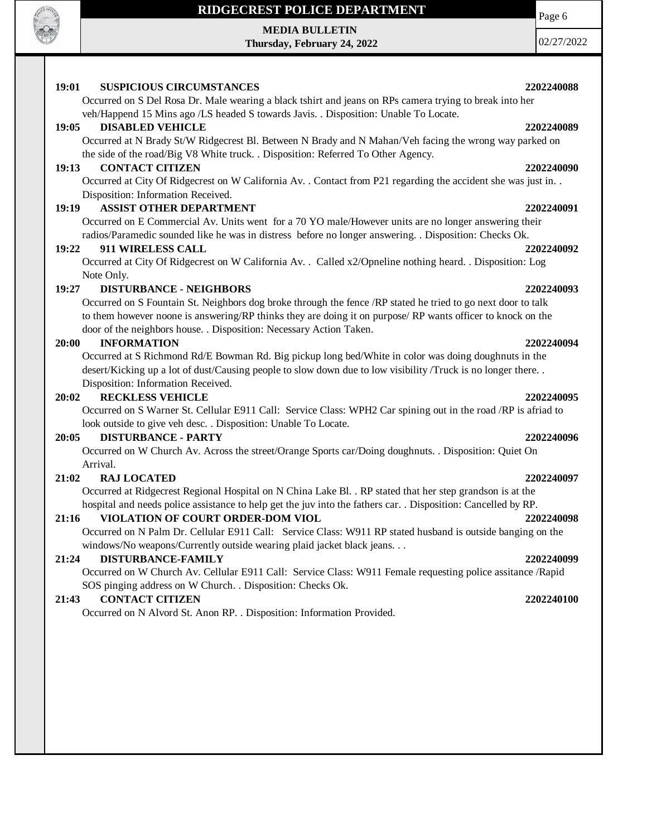

### **MEDIA BULLETIN**

**Thursday, February 24, 2022**

Page 6

02/27/2022

# **19:01 SUSPICIOUS CIRCUMSTANCES 2202240088** Occurred on S Del Rosa Dr. Male wearing a black tshirt and jeans on RPs camera trying to break into her veh/Happend 15 Mins ago /LS headed S towards Javis. . Disposition: Unable To Locate. **19:05 DISABLED VEHICLE 2202240089** Occurred at N Brady St/W Ridgecrest Bl. Between N Brady and N Mahan/Veh facing the wrong way parked on the side of the road/Big V8 White truck. . Disposition: Referred To Other Agency. **19:13 CONTACT CITIZEN 2202240090** Occurred at City Of Ridgecrest on W California Av. . Contact from P21 regarding the accident she was just in. . Disposition: Information Received. **19:19 ASSIST OTHER DEPARTMENT 2202240091** Occurred on E Commercial Av. Units went for a 70 YO male/However units are no longer answering their radios/Paramedic sounded like he was in distress before no longer answering. . Disposition: Checks Ok. **19:22 911 WIRELESS CALL 2202240092** Occurred at City Of Ridgecrest on W California Av. . Called x2/Opneline nothing heard. . Disposition: Log Note Only. **19:27 DISTURBANCE - NEIGHBORS 2202240093** Occurred on S Fountain St. Neighbors dog broke through the fence /RP stated he tried to go next door to talk to them however noone is answering/RP thinks they are doing it on purpose/ RP wants officer to knock on the door of the neighbors house. . Disposition: Necessary Action Taken. **20:00 INFORMATION 2202240094** Occurred at S Richmond Rd/E Bowman Rd. Big pickup long bed/White in color was doing doughnuts in the desert/Kicking up a lot of dust/Causing people to slow down due to low visibility /Truck is no longer there. . Disposition: Information Received. **20:02 RECKLESS VEHICLE 2202240095** Occurred on S Warner St. Cellular E911 Call: Service Class: WPH2 Car spining out in the road /RP is afriad to look outside to give veh desc. . Disposition: Unable To Locate. **20:05 DISTURBANCE - PARTY 2202240096** Occurred on W Church Av. Across the street/Orange Sports car/Doing doughnuts. . Disposition: Quiet On Arrival. **21:02 RAJ LOCATED 2202240097** Occurred at Ridgecrest Regional Hospital on N China Lake Bl. . RP stated that her step grandson is at the hospital and needs police assistance to help get the juv into the fathers car. . Disposition: Cancelled by RP. **21:16 VIOLATION OF COURT ORDER-DOM VIOL 2202240098** Occurred on N Palm Dr. Cellular E911 Call: Service Class: W911 RP stated husband is outside banging on the windows/No weapons/Currently outside wearing plaid jacket black jeans. . . **21:24 DISTURBANCE-FAMILY 2202240099** Occurred on W Church Av. Cellular E911 Call: Service Class: W911 Female requesting police assitance /Rapid SOS pinging address on W Church. . Disposition: Checks Ok. **21:43 CONTACT CITIZEN 2202240100** Occurred on N Alvord St. Anon RP. . Disposition: Information Provided.